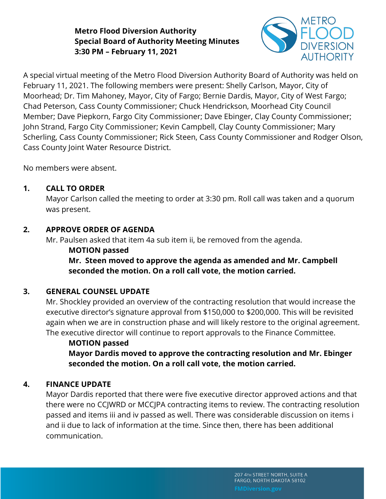## **Metro Flood Diversion Authority Special Board of Authority Meeting Minutes 3:30 PM – February 11, 2021**



A special virtual meeting of the Metro Flood Diversion Authority Board of Authority was held on February 11, 2021. The following members were present: Shelly Carlson, Mayor, City of Moorhead; Dr. Tim Mahoney, Mayor, City of Fargo; Bernie Dardis, Mayor, City of West Fargo; Chad Peterson, Cass County Commissioner; Chuck Hendrickson, Moorhead City Council Member; Dave Piepkorn, Fargo City Commissioner; Dave Ebinger, Clay County Commissioner; John Strand, Fargo City Commissioner; Kevin Campbell, Clay County Commissioner; Mary Scherling, Cass County Commissioner; Rick Steen, Cass County Commissioner and Rodger Olson, Cass County Joint Water Resource District.

No members were absent.

#### **1. CALL TO ORDER**

Mayor Carlson called the meeting to order at 3:30 pm. Roll call was taken and a quorum was present.

### **2. APPROVE ORDER OF AGENDA**

Mr. Paulsen asked that item 4a sub item ii, be removed from the agenda.

# **MOTION passed**

**Mr. Steen moved to approve the agenda as amended and Mr. Campbell seconded the motion. On a roll call vote, the motion carried.**

### **3. GENERAL COUNSEL UPDATE**

Mr. Shockley provided an overview of the contracting resolution that would increase the executive director's signature approval from \$150,000 to \$200,000. This will be revisited again when we are in construction phase and will likely restore to the original agreement. The executive director will continue to report approvals to the Finance Committee.

# **MOTION passed**

**Mayor Dardis moved to approve the contracting resolution and Mr. Ebinger seconded the motion. On a roll call vote, the motion carried.**

### **4. FINANCE UPDATE**

Mayor Dardis reported that there were five executive director approved actions and that there were no CCJWRD or MCCJPA contracting items to review. The contracting resolution passed and items iii and iv passed as well. There was considerable discussion on items i and ii due to lack of information at the time. Since then, there has been additional communication.